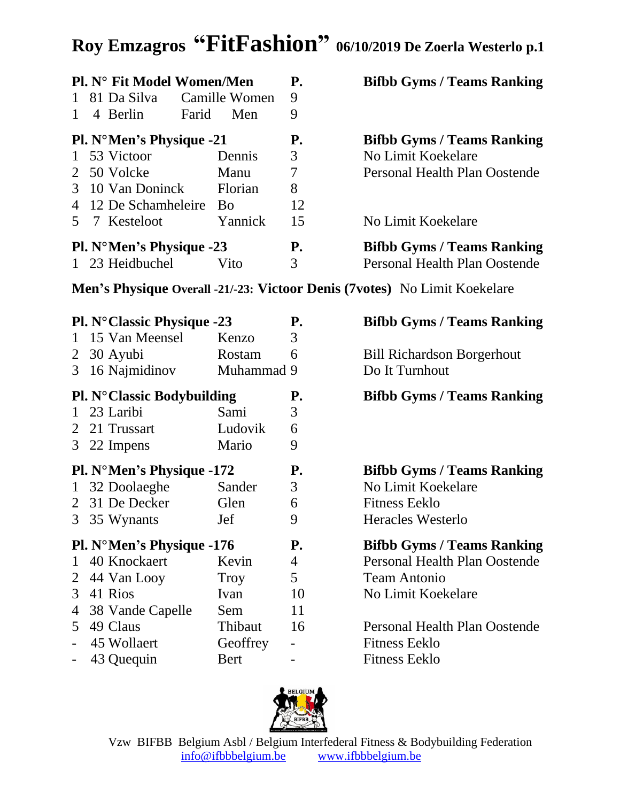## **Roy Emzagros "FitFashion" 06/10/2019 De Zoerla Westerlo p.1**

|                |                                                                                  | <b>Pl. N° Fit Model Women/Men</b>  |               | <b>P.</b>                | <b>Bifbb Gyms / Teams Ranking</b>    |  |  |
|----------------|----------------------------------------------------------------------------------|------------------------------------|---------------|--------------------------|--------------------------------------|--|--|
| $\mathbf{1}$   |                                                                                  | 81 Da Silva                        | Camille Women | 9                        |                                      |  |  |
| 1              |                                                                                  | 4 Berlin<br>Farid                  | Men           | 9                        |                                      |  |  |
|                |                                                                                  | <b>Pl. N°Men's Physique -21</b>    |               | <b>P.</b>                | <b>Bifbb Gyms / Teams Ranking</b>    |  |  |
| $\mathbf{1}$   |                                                                                  | 53 Victoor                         | Dennis        | 3                        | No Limit Koekelare                   |  |  |
| 2              |                                                                                  | 50 Volcke                          | Manu          | $\overline{\mathcal{L}}$ | <b>Personal Health Plan Oostende</b> |  |  |
| 3              |                                                                                  | 10 Van Doninck                     | Florian       | 8                        |                                      |  |  |
| $\overline{4}$ |                                                                                  | 12 De Schamheleire Bo              |               | 12                       |                                      |  |  |
| 5 <sup>7</sup> |                                                                                  | 7 Kesteloot                        | Yannick       | 15                       | No Limit Koekelare                   |  |  |
|                |                                                                                  | <b>Pl. N°Men's Physique -23</b>    |               | <b>P.</b>                | <b>Bifbb Gyms / Teams Ranking</b>    |  |  |
|                |                                                                                  | 1 23 Heidbuchel                    | Vito          | 3                        | Personal Health Plan Oostende        |  |  |
|                | <b>Men's Physique Overall -21/-23: Victoor Denis (7votes)</b> No Limit Koekelare |                                    |               |                          |                                      |  |  |
|                |                                                                                  | <b>Pl. N° Classic Physique -23</b> |               | <b>P.</b>                | <b>Bifbb Gyms / Teams Ranking</b>    |  |  |
| $\mathbf{1}$   |                                                                                  | 15 Van Meensel                     | Kenzo         | 3                        |                                      |  |  |
|                |                                                                                  | $2 \quad 30$ Ayubi                 | Rostam        | 6                        | <b>Bill Richardson Borgerhout</b>    |  |  |
| 3              |                                                                                  | 16 Najmidinov                      | Muhammad 9    |                          | Do It Turnhout                       |  |  |
|                |                                                                                  | <b>Pl. N° Classic Bodybuilding</b> |               | <b>P.</b>                | <b>Bifbb Gyms / Teams Ranking</b>    |  |  |
| $\mathbf{1}$   |                                                                                  | 23 Laribi                          | Sami          | 3                        |                                      |  |  |
| 2              |                                                                                  | 21 Trussart                        | Ludovik       | 6                        |                                      |  |  |
|                |                                                                                  | 3 22 Impens                        | Mario         | 9                        |                                      |  |  |

| <b>Pl. N°Men's Physique -172</b> |          | Р.        | <b>Bifbb Gyms / Teams Ranking</b> |
|----------------------------------|----------|-----------|-----------------------------------|
| 1 32 Doolaeghe                   | Sander   | 3         | No Limit Koekelare                |
| 2 31 De Decker                   | Glen     | 6         | <b>Fitness Eeklo</b>              |
| 3 35 Wynants                     | Jef      | 9         | <b>Heracles Westerlo</b>          |
| <b>Pl. N°Men's Physique -176</b> |          | <b>P.</b> | <b>Bifbb Gyms / Teams Ranking</b> |
| 1 40 Knockaert                   | Kevin    | 4         | Personal Health Plan Oostende     |
| 2 44 Van Looy                    | Troy     | 5         | <b>Team Antonio</b>               |
| 3 41 Rios                        | Ivan     | 10        | No Limit Koekelare                |
| 4 38 Vande Capelle               | Sem      | 11        |                                   |
| 5 49 Claus                       | Thibaut  | 16        | Personal Health Plan Oostende     |
| - 45 Wollaert                    | Geoffrey |           | <b>Fitness Eeklo</b>              |
| - 43 Quequin                     | Bert     |           | <b>Fitness Eeklo</b>              |

| <b>Bifbb Gyms / Teams Ranking</b> |
|-----------------------------------|
| No Limit Koekelare                |
| Fitness Eeklo                     |
| Heracles Westerlo                 |

#### **Bifbb Gyms / Teams Ranking** Personal Health Plan Oostende Team Antonio No Limit Koekelare

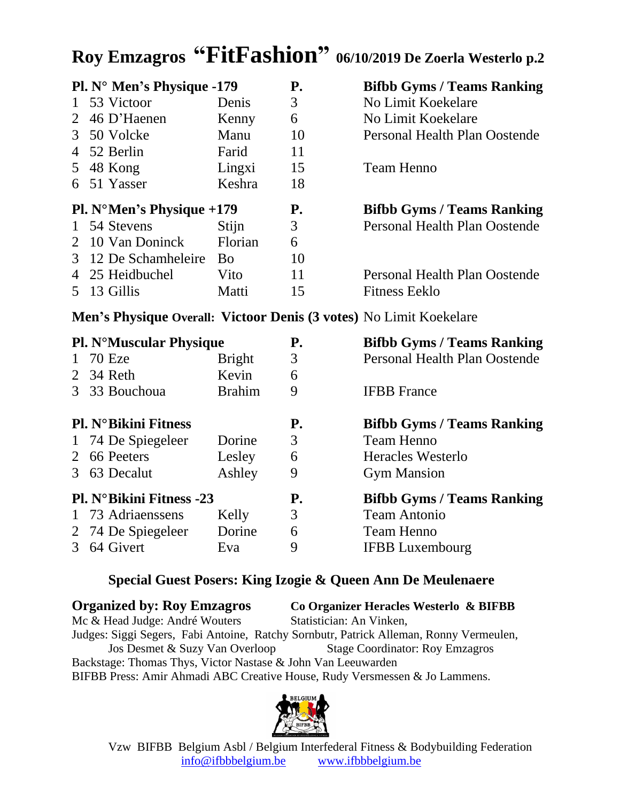## **Roy Emzagros "FitFashion" 06/10/2019 De Zoerla Westerlo p.2**

|                                    | Pl. N° Men's Physique -179 |                       | <b>P.</b> | <b>Bifbb Gyms / Teams Ranking</b>    |
|------------------------------------|----------------------------|-----------------------|-----------|--------------------------------------|
|                                    | 1 53 Victoor               | Denis                 | 3         | No Limit Koekelare                   |
|                                    | 2 46 D'Haenen              | Kenny                 | 6         | No Limit Koekelare                   |
|                                    | 3 50 Volcke                | Manu                  | 10        | Personal Health Plan Oostende        |
|                                    | 4 52 Berlin                | Farid                 | 11        |                                      |
|                                    | 5 48 Kong                  | Lingxi                | 15        | <b>Team Henno</b>                    |
|                                    | 6 51 Yasser                | Keshra                | 18        |                                      |
| <b>Pl.</b> N°Men's Physique $+179$ |                            |                       |           |                                      |
|                                    |                            |                       | <b>P.</b> | <b>Bifbb Gyms / Teams Ranking</b>    |
|                                    | 1 54 Stevens               | Stijn                 | 3         | <b>Personal Health Plan Oostende</b> |
|                                    | 2 10 Van Doninck           | Florian               | 6         |                                      |
|                                    | 3 12 De Schamheleire       | <b>B</b> <sub>o</sub> | 10        |                                      |
|                                    | 4 25 Heidbuchel            | Vito                  | 11        | Personal Health Plan Oostende        |
|                                    | 13 Gillis                  | Matti                 | 15        | <b>Fitness Eeklo</b>                 |

**Men's Physique Overall: Victoor Denis (3 votes)** No Limit Koekelare

|              | <b>Pl. N°Muscular Physique</b>  |               | <b>P.</b> | <b>Bifbb Gyms / Teams Ranking</b>    |
|--------------|---------------------------------|---------------|-----------|--------------------------------------|
| $\mathbf{1}$ | 70 Eze                          | <b>Bright</b> | 3         | <b>Personal Health Plan Oostende</b> |
|              | 2 34 Reth                       | Kevin         | 6         |                                      |
|              | 3 33 Bouchoua                   | <b>Brahim</b> | 9         | <b>IFBB</b> France                   |
|              | <b>Pl. N°Bikini Fitness</b>     |               | <b>P.</b> | <b>Bifbb Gyms / Teams Ranking</b>    |
|              | 1 74 De Spiegeleer              | Dorine        | 3         | <b>Team Henno</b>                    |
|              | 2 66 Peeters                    | Lesley        | 6         | Heracles Westerlo                    |
|              | 3 63 Decalut                    | Ashley        | 9         | <b>Gym Mansion</b>                   |
|              | <b>Pl. N°Bikini Fitness -23</b> |               | <b>P.</b> | <b>Bifbb Gyms / Teams Ranking</b>    |
|              | 1 73 Adriaenssens               | Kelly         | 3         | <b>Team Antonio</b>                  |
|              | 2 74 De Spiegeleer              | Dorine        | 6         | <b>Team Henno</b>                    |
|              | 3 64 Givert                     | Eva           | 9         | <b>IFBB</b> Luxembourg               |

#### **Special Guest Posers: King Izogie & Queen Ann De Meulenaere**

**Organized by: Roy Emzagros Co Organizer Heracles Westerlo & BIFBB** Mc & Head Judge: André Wouters Statistician: An Vinken, Judges: Siggi Segers, Fabi Antoine, Ratchy Sornbutr, Patrick Alleman, Ronny Vermeulen, Jos Desmet & Suzy Van Overloop Stage Coordinator: Roy Emzagros Backstage: Thomas Thys, Victor Nastase & John Van Leeuwarden BIFBB Press: Amir Ahmadi ABC Creative House, Rudy Versmessen & Jo Lammens.



Vzw BIFBB Belgium Asbl / Belgium Interfederal Fitness & Bodybuilding Federation [info@ifbbbelgium.be](mailto:info@ifbbbelgium.be) [www.ifbbbelgium.be](http://www.ifbbbelgium.be/)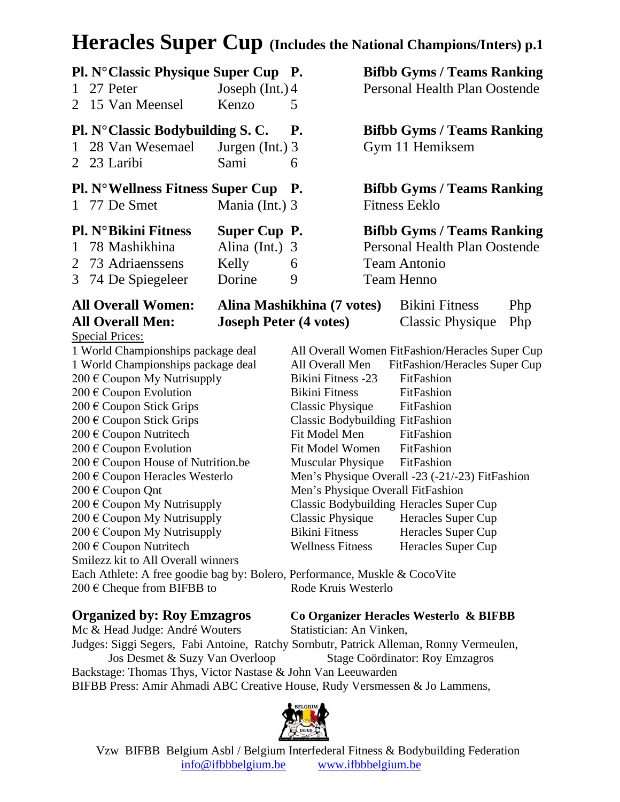### **Heracles Super Cup (Includes the National Champions/Inters) p.1**

| 1                               | Pl. N° Classic Physique Super Cup P.<br>27 Peter                           | Joseph $(Int.)$ 4             |                                                 |  | <b>Bifbb Gyms / Teams Ranking</b><br><b>Personal Health Plan Oostende</b> |     |
|---------------------------------|----------------------------------------------------------------------------|-------------------------------|-------------------------------------------------|--|---------------------------------------------------------------------------|-----|
| 2                               | 15 Van Meensel                                                             | Kenzo                         | 5                                               |  |                                                                           |     |
| $\mathbf{1}$                    | <b>Pl. N°Classic Bodybuilding S. C.</b><br>28 Van Wesemael<br>2 23 Laribi  | Jurgen $(Int.)$ 3<br>Sami     | <b>P.</b><br>6                                  |  | <b>Bifbb Gyms / Teams Ranking</b><br>Gym 11 Hemiksem                      |     |
|                                 | <b>Pl. N°Wellness Fitness Super Cup P.</b>                                 |                               |                                                 |  | <b>Bifbb Gyms / Teams Ranking</b>                                         |     |
| $\mathbf{1}$                    | 77 De Smet                                                                 | Mania (Int.) 3                |                                                 |  | <b>Fitness Eeklo</b>                                                      |     |
|                                 | <b>Pl. N°Bikini Fitness</b>                                                | Super Cup P.                  |                                                 |  | <b>Bifbb Gyms / Teams Ranking</b>                                         |     |
| 1                               | 78 Mashikhina                                                              | Alina (Int.)                  | 3                                               |  | Personal Health Plan Oostende                                             |     |
| $\overline{2}$                  | 73 Adriaenssens                                                            | Kelly                         | 6                                               |  | <b>Team Antonio</b>                                                       |     |
|                                 | 3 74 De Spiegeleer                                                         | Dorine                        | 9                                               |  | <b>Team Henno</b>                                                         |     |
|                                 | <b>All Overall Women:</b>                                                  | Alina Mashikhina (7 votes)    |                                                 |  | <b>Bikini Fitness</b>                                                     | Php |
|                                 | <b>All Overall Men:</b>                                                    | <b>Joseph Peter (4 votes)</b> |                                                 |  | <b>Classic Physique</b>                                                   | Php |
|                                 | <b>Special Prices:</b>                                                     |                               |                                                 |  |                                                                           |     |
|                                 | 1 World Championships package deal                                         |                               |                                                 |  | All Overall Women FitFashion/Heracles Super Cup                           |     |
|                                 | 1 World Championships package deal                                         |                               | All Overall Men                                 |  | FitFashion/Heracles Super Cup                                             |     |
|                                 | 200 € Coupon My Nutrisupply                                                |                               | <b>Bikini Fitness -23</b>                       |  | FitFashion                                                                |     |
| 200 € Coupon Evolution          |                                                                            |                               | <b>Bikini Fitness</b>                           |  | FitFashion                                                                |     |
|                                 | 200 € Coupon Stick Grips                                                   |                               | <b>Classic Physique</b>                         |  | FitFashion                                                                |     |
|                                 | 200 € Coupon Stick Grips                                                   |                               | <b>Classic Bodybuilding FitFashion</b>          |  |                                                                           |     |
|                                 | 200 € Coupon Nutritech                                                     |                               | Fit Model Men                                   |  | FitFashion                                                                |     |
|                                 | 200 € Coupon Evolution                                                     |                               | Fit Model Women                                 |  | FitFashion                                                                |     |
|                                 | 200 € Coupon House of Nutrition.be                                         |                               | <b>Muscular Physique</b>                        |  | FitFashion                                                                |     |
|                                 | 200 € Coupon Heracles Westerlo                                             |                               | Men's Physique Overall -23 (-21/-23) FitFashion |  |                                                                           |     |
| 200 € Coupon Qnt                |                                                                            |                               | Men's Physique Overall FitFashion               |  |                                                                           |     |
|                                 | $200 \text{ }\in$ Coupon My Nutrisupply                                    |                               |                                                 |  | Classic Bodybuilding Heracles Super Cup                                   |     |
| 200 $\in$ Coupon My Nutrisupply |                                                                            |                               | Classic Physique                                |  | Heracles Super Cup                                                        |     |
| 200 € Coupon My Nutrisupply     |                                                                            |                               | <b>Bikini Fitness</b>                           |  | Heracles Super Cup                                                        |     |
|                                 | 200 € Coupon Nutritech                                                     |                               | <b>Wellness Fitness</b>                         |  | Heracles Super Cup                                                        |     |
|                                 | Smilezz kit to All Overall winners                                         |                               |                                                 |  |                                                                           |     |
|                                 | Each Athlete: A free goodie bag by: Bolero, Performance, Muskle & CocoVite |                               | Rode Kruis Westerlo                             |  |                                                                           |     |
|                                 | 200 € Cheque from BIFBB to                                                 |                               |                                                 |  |                                                                           |     |
|                                 |                                                                            |                               |                                                 |  |                                                                           |     |

**Organized by: Roy Emzagros Co Organizer Heracles Westerlo & BIFBB**

Mc & Head Judge: André Wouters Statistician: An Vinken, Judges: Siggi Segers, Fabi Antoine, Ratchy Sornbutr, Patrick Alleman, Ronny Vermeulen, Jos Desmet & Suzy Van Overloop Stage Coördinator: Roy Emzagros Backstage: Thomas Thys, Victor Nastase & John Van Leeuwarden BIFBB Press: Amir Ahmadi ABC Creative House, Rudy Versmessen & Jo Lammens,



 Vzw BIFBB Belgium Asbl / Belgium Interfederal Fitness & Bodybuilding Federation [info@ifbbbelgium.be](mailto:info@ifbbbelgium.be) [www.ifbbbelgium.be](http://www.ifbbbelgium.be/)